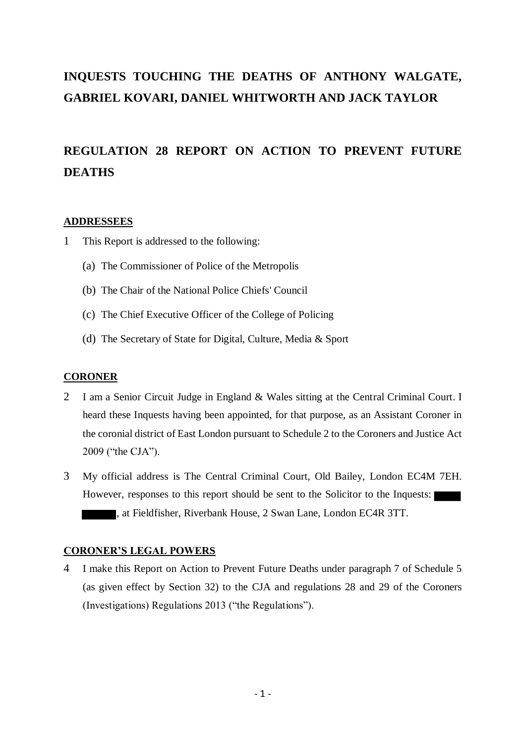# **INQUESTS TOUCHING THE DEATHS OF ANTHONY WALGATE, GABRIEL KOVARI, DANIEL WHITWORTH AND JACK TAYLOR**

# **REGULATION 28 REPORT ON ACTION TO PREVENT FUTURE DEATHS**

# **ADDRESSEES**

- 1 This Report is addressed to the following:
	- (a) The Commissioner of Police of the Metropolis
	- (b) The Chair of the National Police Chiefs' Council
	- (c) The Chief Executive Officer of the College of Policing
	- (d) The Secretary of State for Digital, Culture, Media & Sport

# **CORONER**

- 2 I am a Senior Circuit Judge in England & Wales sitting at the Central Criminal Court. I heard these Inquests having been appointed, for that purpose, as an Assistant Coroner in the coronial district of East London pursuant to Schedule 2 to the Coroners and Justice Act 2009 ("the CJA").
- 3 My official address is The Central Criminal Court, Old Bailey, London EC4M 7EH. However, responses to this report should be sent to the Solicitor to the Inquests: , at Fieldfisher, Riverbank House, 2 Swan Lane, London EC4R 3TT.

# **CORONER'S LEGAL POWERS**

4 I make this Report on Action to Prevent Future Deaths under paragraph 7 of Schedule 5 (as given effect by Section 32) to the CJA and regulations 28 and 29 of the Coroners (Investigations) Regulations 2013 ("the Regulations").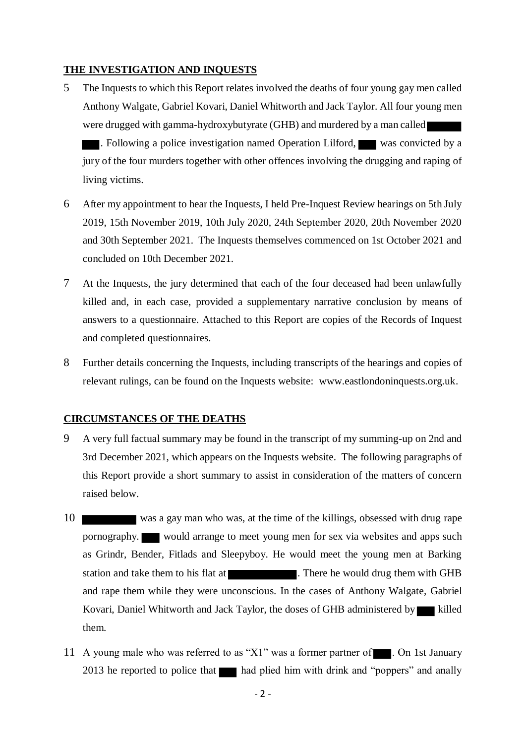# **THE INVESTIGATION AND INQUESTS**

- 5 The Inquests to which this Report relates involved the deaths of four young gay men called Anthony Walgate, Gabriel Kovari, Daniel Whitworth and Jack Taylor. All four young men were drugged with gamma-hydroxybutyrate (GHB) and murdered by a man called . Following a police investigation named Operation Lilford, was convicted by a jury of the four murders together with other offences involving the drugging and raping of living victims.
- 6 After my appointment to hear the Inquests, I held Pre-Inquest Review hearings on 5th July 2019, 15th November 2019, 10th July 2020, 24th September 2020, 20th November 2020 and 30th September 2021. The Inquests themselves commenced on 1st October 2021 and concluded on 10th December 2021.
- 7 At the Inquests, the jury determined that each of the four deceased had been unlawfully killed and, in each case, provided a supplementary narrative conclusion by means of answers to a questionnaire. Attached to this Report are copies of the Records of Inquest and completed questionnaires.
- 8 Further details concerning the Inquests, including transcripts of the hearings and copies of relevant rulings, can be found on the Inquests website: www.eastlondoninquests.org.uk.

# **CIRCUMSTANCES OF THE DEATHS**

- 9 A very full factual summary may be found in the transcript of my summing-up on 2nd and 3rd December 2021, which appears on the Inquests website. The following paragraphs of this Report provide a short summary to assist in consideration of the matters of concern raised below.
- 10 was a gay man who was, at the time of the killings, obsessed with drug rape pornography. would arrange to meet young men for sex via websites and apps such as Grindr, Bender, Fitlads and Sleepyboy. He would meet the young men at Barking station and take them to his flat at . There he would drug them with GHB and rape them while they were unconscious. In the cases of Anthony Walgate, Gabriel Kovari, Daniel Whitworth and Jack Taylor, the doses of GHB administered by killed them.
- 11 A young male who was referred to as "X1" was a former partner of  $\blacksquare$ . On 1st January 2013 he reported to police that had plied him with drink and "poppers" and anally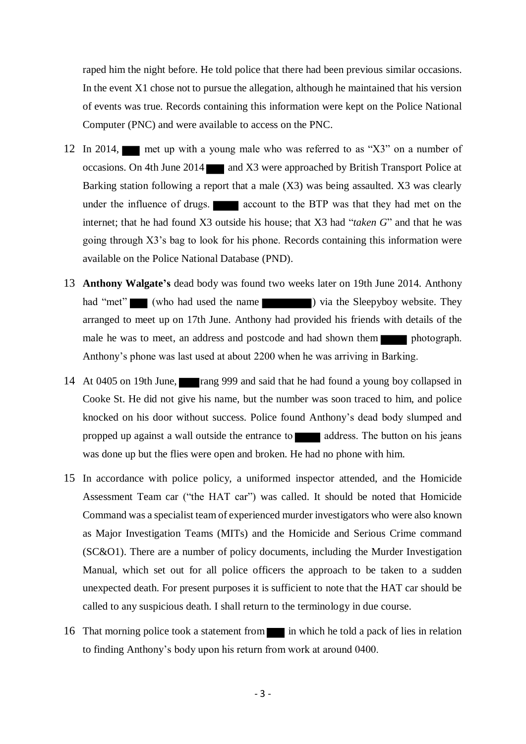raped him the night before. He told police that there had been previous similar occasions. In the event X1 chose not to pursue the allegation, although he maintained that his version of events was true. Records containing this information were kept on the Police National Computer (PNC) and were available to access on the PNC.

- 12 In 2014, met up with a young male who was referred to as "X3" on a number of occasions. On 4th June 2014 and X3 were approached by British Transport Police at Barking station following a report that a male (X3) was being assaulted. X3 was clearly under the influence of drugs. **All account** to the BTP was that they had met on the internet; that he had found X3 outside his house; that X3 had "*taken G*" and that he was going through X3's bag to look for his phone. Records containing this information were available on the Police National Database (PND).
- 13 **Anthony Walgate's** dead body was found two weeks later on 19th June 2014. Anthony had "met" (who had used the name ) via the Sleepyboy website. They arranged to meet up on 17th June. Anthony had provided his friends with details of the male he was to meet, an address and postcode and had shown them photograph. Anthony's phone was last used at about 2200 when he was arriving in Barking.
- 14 At 0405 on 19th June, rang 999 and said that he had found a young boy collapsed in Cooke St. He did not give his name, but the number was soon traced to him, and police knocked on his door without success. Police found Anthony's dead body slumped and propped up against a wall outside the entrance to address. The button on his jeans was done up but the flies were open and broken. He had no phone with him.
- 15 In accordance with police policy, a uniformed inspector attended, and the Homicide Assessment Team car ("the HAT car") was called. It should be noted that Homicide Command was a specialist team of experienced murder investigators who were also known as Major Investigation Teams (MITs) and the Homicide and Serious Crime command (SC&O1). There are a number of policy documents, including the Murder Investigation Manual, which set out for all police officers the approach to be taken to a sudden unexpected death. For present purposes it is sufficient to note that the HAT car should be called to any suspicious death. I shall return to the terminology in due course.
- 16 That morning police took a statement from in which he told a pack of lies in relation to finding Anthony's body upon his return from work at around 0400.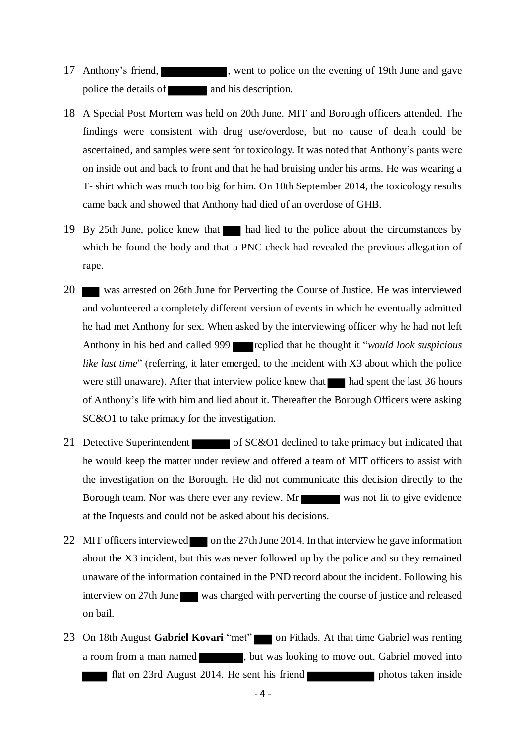- 17 Anthony's friend, went to police on the evening of 19th June and gave police the details of and his description.
- 18 A Special Post Mortem was held on 20th June. MIT and Borough officers attended. The findings were consistent with drug use/overdose, but no cause of death could be ascertained, and samples were sent for toxicology. It was noted that Anthony's pants were on inside out and back to front and that he had bruising under his arms. He was wearing a T- shirt which was much too big for him. On 10th September 2014, the toxicology results came back and showed that Anthony had died of an overdose of GHB.
- 19 By 25th June, police knew that had lied to the police about the circumstances by which he found the body and that a PNC check had revealed the previous allegation of rape.
- 20 was arrested on 26th June for Perverting the Course of Justice. He was interviewed and volunteered a completely different version of events in which he eventually admitted he had met Anthony for sex. When asked by the interviewing officer why he had not left Anthony in his bed and called 999 replied that he thought it "*would look suspicious like last time*" (referring, it later emerged, to the incident with X3 about which the police were still unaware). After that interview police knew that had spent the last 36 hours of Anthony's life with him and lied about it. Thereafter the Borough Officers were asking SC&O1 to take primacy for the investigation.
- 21 Detective Superintendent of SC&O1 declined to take primacy but indicated that he would keep the matter under review and offered a team of MIT officers to assist with the investigation on the Borough. He did not communicate this decision directly to the Borough team. Nor was there ever any review. Mr was not fit to give evidence at the Inquests and could not be asked about his decisions.
- 22 MIT officers interviewed on the 27th June 2014. In that interview he gave information about the X3 incident, but this was never followed up by the police and so they remained unaware of the information contained in the PND record about the incident. Following his interview on 27th June was charged with perverting the course of justice and released on bail.
- 23 On 18th August Gabriel Kovari "met" on Fitlads. At that time Gabriel was renting a room from a man named , but was looking to move out. Gabriel moved into flat on 23rd August 2014. He sent his friend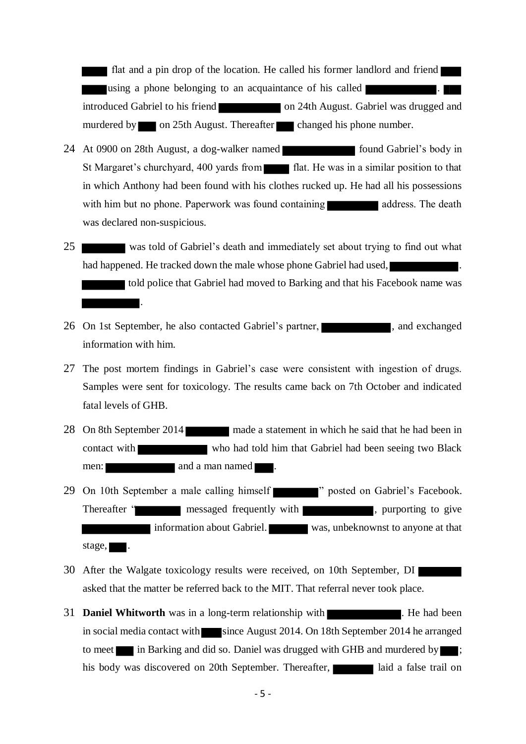flat and a pin drop of the location. He called his former landlord and friend using a phone belonging to an acquaintance of his called introduced Gabriel to his friend on 24th August. Gabriel was drugged and murdered by on 25th August. Thereafter changed his phone number.

- 24 At 0900 on 28th August, a dog-walker named found Gabriel's body in St Margaret's churchyard, 400 yards from flat. He was in a similar position to that in which Anthony had been found with his clothes rucked up. He had all his possessions with him but no phone. Paperwork was found containing and address. The death was declared non-suspicious.
- 25 was told of Gabriel's death and immediately set about trying to find out what had happened. He tracked down the male whose phone Gabriel had used,

told police that Gabriel had moved to Barking and that his Facebook name was .

- 26 On 1st September, he also contacted Gabriel's partner,  $\blacksquare$ , and exchanged information with him.
- 27 The post mortem findings in Gabriel's case were consistent with ingestion of drugs. Samples were sent for toxicology. The results came back on 7th October and indicated fatal levels of GHB.
- 28 On 8th September 2014 made a statement in which he said that he had been in contact with who had told him that Gabriel had been seeing two Black men: and a man named .
- 29 On 10th September a male calling himself " posted on Gabriel's Facebook. Thereafter " messaged frequently with , purporting to give Information about Gabriel. Was, unbeknownst to anyone at that stage,  $\blacksquare$ .
- 30 After the Walgate toxicology results were received, on 10th September, DI asked that the matter be referred back to the MIT. That referral never took place.
- 31 **Daniel Whitworth** was in a long-term relationship with **Electionary 2014**. He had been in social media contact with since August 2014. On 18th September 2014 he arranged to meet in Barking and did so. Daniel was drugged with GHB and murdered by  $\blacksquare$ ; his body was discovered on 20th September. Thereafter, and a false trail on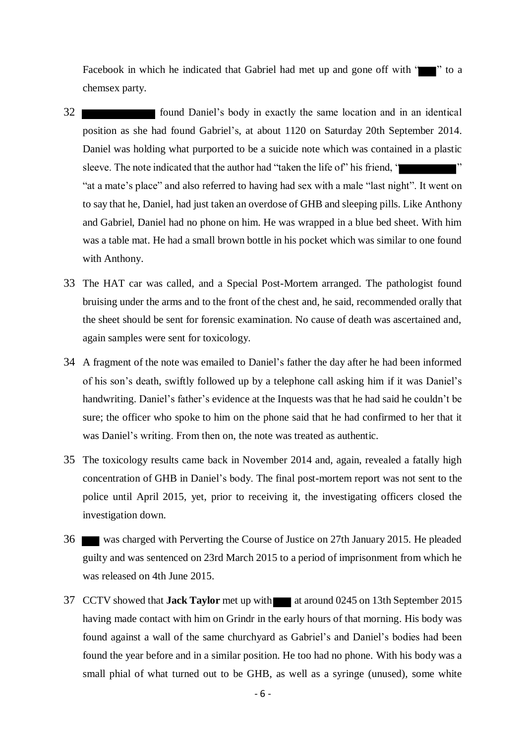Facebook in which he indicated that Gabriel had met up and gone off with " chemsex party.

- 32 **found Daniel's body in exactly the same location and in an identical** position as she had found Gabriel's, at about 1120 on Saturday 20th September 2014. Daniel was holding what purported to be a suicide note which was contained in a plastic sleeve. The note indicated that the author had "taken the life of" his friend, " "at a mate's place" and also referred to having had sex with a male "last night". It went on to say that he, Daniel, had just taken an overdose of GHB and sleeping pills. Like Anthony and Gabriel, Daniel had no phone on him. He was wrapped in a blue bed sheet. With him was a table mat. He had a small brown bottle in his pocket which was similar to one found with Anthony.
- 33 The HAT car was called, and a Special Post-Mortem arranged. The pathologist found bruising under the arms and to the front of the chest and, he said, recommended orally that the sheet should be sent for forensic examination. No cause of death was ascertained and, again samples were sent for toxicology.
- 34 A fragment of the note was emailed to Daniel's father the day after he had been informed of his son's death, swiftly followed up by a telephone call asking him if it was Daniel's handwriting. Daniel's father's evidence at the Inquests was that he had said he couldn't be sure; the officer who spoke to him on the phone said that he had confirmed to her that it was Daniel's writing. From then on, the note was treated as authentic.
- 35 The toxicology results came back in November 2014 and, again, revealed a fatally high concentration of GHB in Daniel's body. The final post-mortem report was not sent to the police until April 2015, yet, prior to receiving it, the investigating officers closed the investigation down.
- 36 was charged with Perverting the Course of Justice on 27th January 2015. He pleaded guilty and was sentenced on 23rd March 2015 to a period of imprisonment from which he was released on 4th June 2015.
- 37 CCTV showed that **Jack Taylor** met up with at around 0245 on 13th September 2015 having made contact with him on Grindr in the early hours of that morning. His body was found against a wall of the same churchyard as Gabriel's and Daniel's bodies had been found the year before and in a similar position. He too had no phone. With his body was a small phial of what turned out to be GHB, as well as a syringe (unused), some white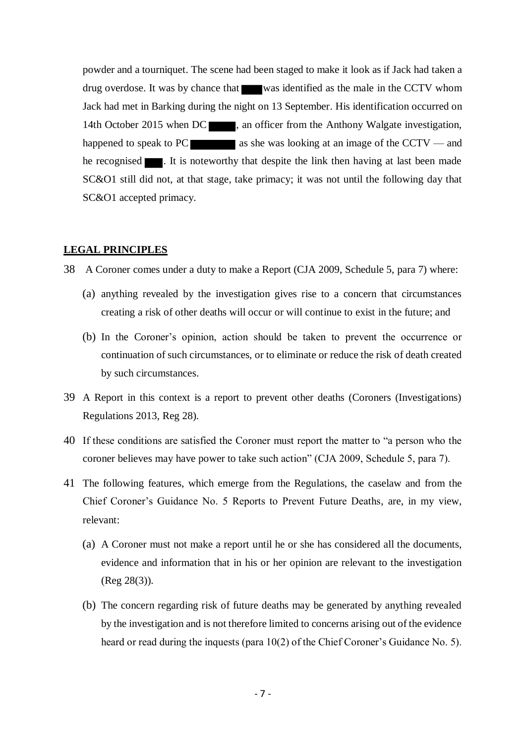powder and a tourniquet. The scene had been staged to make it look as if Jack had taken a drug overdose. It was by chance that was identified as the male in the CCTV whom Jack had met in Barking during the night on 13 September. His identification occurred on 14th October 2015 when DC , an officer from the Anthony Walgate investigation, happened to speak to PC  $\blacksquare$  as she was looking at an image of the CCTV — and he recognised **1.** It is noteworthy that despite the link then having at last been made SC&O1 still did not, at that stage, take primacy; it was not until the following day that SC&O1 accepted primacy.

## **LEGAL PRINCIPLES**

38 A Coroner comes under a duty to make a Report (CJA 2009, Schedule 5, para 7) where:

- (a) anything revealed by the investigation gives rise to a concern that circumstances creating a risk of other deaths will occur or will continue to exist in the future; and
- (b) In the Coroner's opinion, action should be taken to prevent the occurrence or continuation of such circumstances, or to eliminate or reduce the risk of death created by such circumstances.
- 39 A Report in this context is a report to prevent other deaths (Coroners (Investigations) Regulations 2013, Reg 28).
- 40 If these conditions are satisfied the Coroner must report the matter to "a person who the coroner believes may have power to take such action" (CJA 2009, Schedule 5, para 7).
- 41 The following features, which emerge from the Regulations, the caselaw and from the Chief Coroner's Guidance No. 5 Reports to Prevent Future Deaths, are, in my view, relevant:
	- (a) A Coroner must not make a report until he or she has considered all the documents, evidence and information that in his or her opinion are relevant to the investigation (Reg 28(3)).
	- (b) The concern regarding risk of future deaths may be generated by anything revealed by the investigation and is not therefore limited to concerns arising out of the evidence heard or read during the inquests (para 10(2) of the Chief Coroner's Guidance No. 5).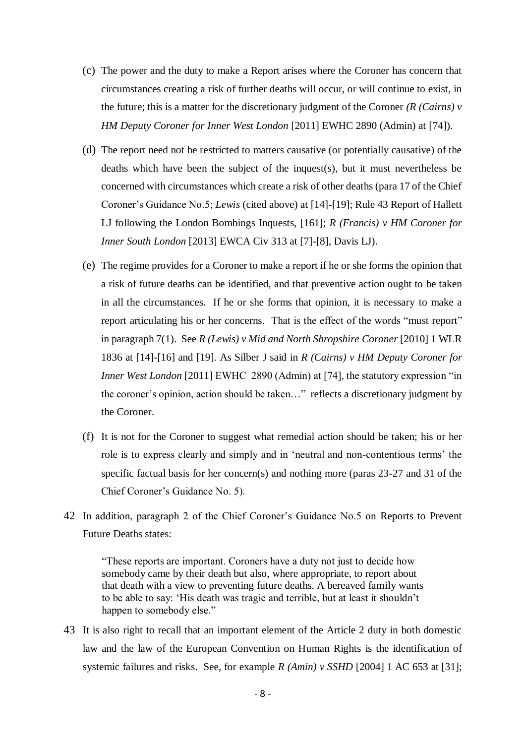- (c) The power and the duty to make a Report arises where the Coroner has concern that circumstances creating a risk of further deaths will occur, or will continue to exist, in the future; this is a matter for the discretionary judgment of the Coroner *(R (Cairns) v HM Deputy Coroner for Inner West London* [2011] EWHC 2890 (Admin) at [74]).
- (d) The report need not be restricted to matters causative (or potentially causative) of the deaths which have been the subject of the inquest(s), but it must nevertheless be concerned with circumstances which create a risk of other deaths (para 17 of the Chief Coroner's Guidance No.5; *Lewis* (cited above) at [14]-[19]; Rule 43 Report of Hallett LJ following the London Bombings Inquests, [161]; *R (Francis) v HM Coroner for Inner South London* [2013] EWCA Civ 313 at [7]-[8], Davis LJ).
- (e) The regime provides for a Coroner to make a report if he or she forms the opinion that a risk of future deaths can be identified, and that preventive action ought to be taken in all the circumstances. If he or she forms that opinion, it is necessary to make a report articulating his or her concerns. That is the effect of the words "must report" in paragraph 7(1). See *R (Lewis) v Mid and North Shropshire Coroner* [2010] 1 WLR 1836 at [14]-[16] and [19]. As Silber J said in *R (Cairns) v HM Deputy Coroner for Inner West London* [2011] EWHC 2890 (Admin) at [74], the statutory expression "in the coroner's opinion, action should be taken…" reflects a discretionary judgment by the Coroner.
- (f) It is not for the Coroner to suggest what remedial action should be taken; his or her role is to express clearly and simply and in 'neutral and non-contentious terms' the specific factual basis for her concern(s) and nothing more (paras 23-27 and 31 of the Chief Coroner's Guidance No. 5).
- 42 In addition, paragraph 2 of the Chief Coroner's Guidance No.5 on Reports to Prevent Future Deaths states:

"These reports are important. Coroners have a duty not just to decide how somebody came by their death but also, where appropriate, to report about that death with a view to preventing future deaths. A bereaved family wants to be able to say: 'His death was tragic and terrible, but at least it shouldn't happen to somebody else."

43 It is also right to recall that an important element of the Article 2 duty in both domestic law and the law of the European Convention on Human Rights is the identification of systemic failures and risks. See, for example *R (Amin) v SSHD* [2004] 1 AC 653 at [31];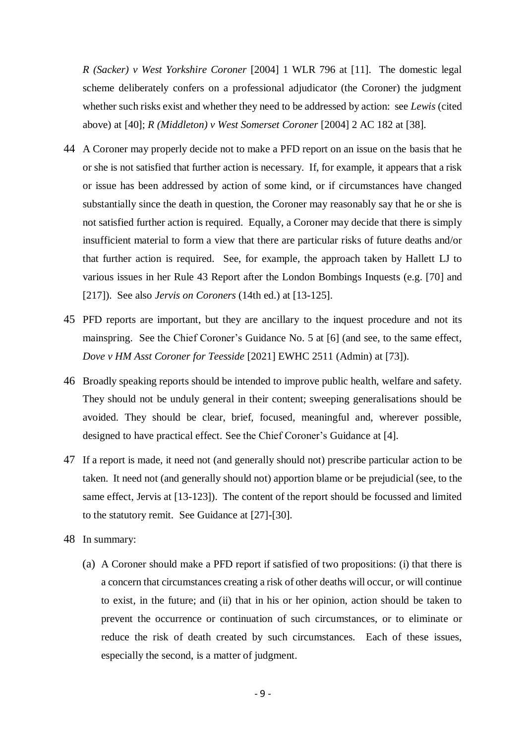*R (Sacker) v West Yorkshire Coroner* [2004] 1 WLR 796 at [11]. The domestic legal scheme deliberately confers on a professional adjudicator (the Coroner) the judgment whether such risks exist and whether they need to be addressed by action: see *Lewis* (cited above) at [40]; *R (Middleton) v West Somerset Coroner* [2004] 2 AC 182 at [38].

- 44 A Coroner may properly decide not to make a PFD report on an issue on the basis that he or she is not satisfied that further action is necessary. If, for example, it appears that a risk or issue has been addressed by action of some kind, or if circumstances have changed substantially since the death in question, the Coroner may reasonably say that he or she is not satisfied further action is required. Equally, a Coroner may decide that there is simply insufficient material to form a view that there are particular risks of future deaths and/or that further action is required. See, for example, the approach taken by Hallett LJ to various issues in her Rule 43 Report after the London Bombings Inquests (e.g. [70] and [217]). See also *Jervis on Coroners* (14th ed.) at [13-125].
- 45 PFD reports are important, but they are ancillary to the inquest procedure and not its mainspring. See the Chief Coroner's Guidance No. 5 at [6] (and see, to the same effect, *Dove v HM Asst Coroner for Teesside* [2021] EWHC 2511 (Admin) at [73]).
- 46 Broadly speaking reports should be intended to improve public health, welfare and safety. They should not be unduly general in their content; sweeping generalisations should be avoided. They should be clear, brief, focused, meaningful and, wherever possible, designed to have practical effect. See the Chief Coroner's Guidance at [4].
- 47 If a report is made, it need not (and generally should not) prescribe particular action to be taken. It need not (and generally should not) apportion blame or be prejudicial (see, to the same effect, Jervis at [13-123]). The content of the report should be focussed and limited to the statutory remit. See Guidance at [27]-[30].
- 48 In summary:
	- (a) A Coroner should make a PFD report if satisfied of two propositions: (i) that there is a concern that circumstances creating a risk of other deaths will occur, or will continue to exist, in the future; and (ii) that in his or her opinion, action should be taken to prevent the occurrence or continuation of such circumstances, or to eliminate or reduce the risk of death created by such circumstances. Each of these issues, especially the second, is a matter of judgment.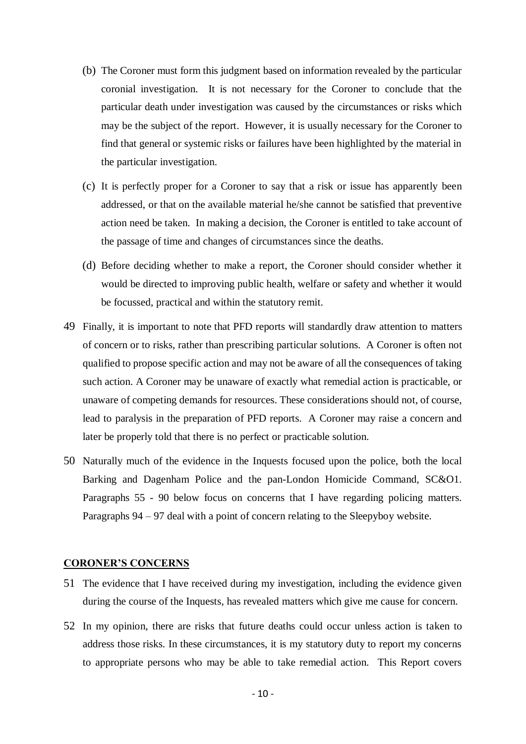- (b) The Coroner must form this judgment based on information revealed by the particular coronial investigation. It is not necessary for the Coroner to conclude that the particular death under investigation was caused by the circumstances or risks which may be the subject of the report. However, it is usually necessary for the Coroner to find that general or systemic risks or failures have been highlighted by the material in the particular investigation.
- (c) It is perfectly proper for a Coroner to say that a risk or issue has apparently been addressed, or that on the available material he/she cannot be satisfied that preventive action need be taken. In making a decision, the Coroner is entitled to take account of the passage of time and changes of circumstances since the deaths.
- (d) Before deciding whether to make a report, the Coroner should consider whether it would be directed to improving public health, welfare or safety and whether it would be focussed, practical and within the statutory remit.
- 49 Finally, it is important to note that PFD reports will standardly draw attention to matters of concern or to risks, rather than prescribing particular solutions. A Coroner is often not qualified to propose specific action and may not be aware of all the consequences of taking such action. A Coroner may be unaware of exactly what remedial action is practicable, or unaware of competing demands for resources. These considerations should not, of course, lead to paralysis in the preparation of PFD reports. A Coroner may raise a concern and later be properly told that there is no perfect or practicable solution.
- 50 Naturally much of the evidence in the Inquests focused upon the police, both the local Barking and Dagenham Police and the pan-London Homicide Command, SC&O1. Paragraphs [55](#page-10-0) - [90](#page-20-0) below focus on concerns that I have regarding policing matters. Paragraphs [94](#page-21-0) – [97](#page-22-0) deal with a point of concern relating to the Sleepyboy website.

## **CORONER'S CONCERNS**

- 51 The evidence that I have received during my investigation, including the evidence given during the course of the Inquests, has revealed matters which give me cause for concern.
- 52 In my opinion, there are risks that future deaths could occur unless action is taken to address those risks. In these circumstances, it is my statutory duty to report my concerns to appropriate persons who may be able to take remedial action. This Report covers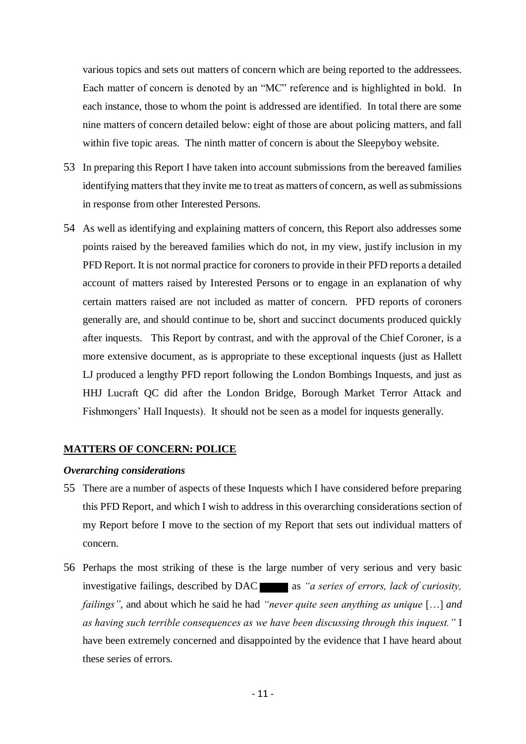various topics and sets out matters of concern which are being reported to the addressees. Each matter of concern is denoted by an "MC" reference and is highlighted in bold. In each instance, those to whom the point is addressed are identified. In total there are some nine matters of concern detailed below: eight of those are about policing matters, and fall within five topic areas. The ninth matter of concern is about the Sleepyboy website.

- 53 In preparing this Report I have taken into account submissions from the bereaved families identifying matters that they invite me to treat as matters of concern, as well as submissions in response from other Interested Persons.
- 54 As well as identifying and explaining matters of concern, this Report also addresses some points raised by the bereaved families which do not, in my view, justify inclusion in my PFD Report. It is not normal practice for coroners to provide in their PFD reports a detailed account of matters raised by Interested Persons or to engage in an explanation of why certain matters raised are not included as matter of concern. PFD reports of coroners generally are, and should continue to be, short and succinct documents produced quickly after inquests. This Report by contrast, and with the approval of the Chief Coroner, is a more extensive document, as is appropriate to these exceptional inquests (just as Hallett LJ produced a lengthy PFD report following the London Bombings Inquests, and just as HHJ Lucraft QC did after the London Bridge, Borough Market Terror Attack and Fishmongers' Hall Inquests). It should not be seen as a model for inquests generally.

# **MATTERS OF CONCERN: POLICE**

# *Overarching considerations*

- <span id="page-10-0"></span>55 There are a number of aspects of these Inquests which I have considered before preparing this PFD Report, and which I wish to address in this overarching considerations section of my Report before I move to the section of my Report that sets out individual matters of concern.
- 56 Perhaps the most striking of these is the large number of very serious and very basic investigative failings, described by DAC as *"a series of errors, lack of curiosity, failings",* and about which he said he had *"never quite seen anything as unique* […] *and as having such terrible consequences as we have been discussing through this inquest."* I have been extremely concerned and disappointed by the evidence that I have heard about these series of errors.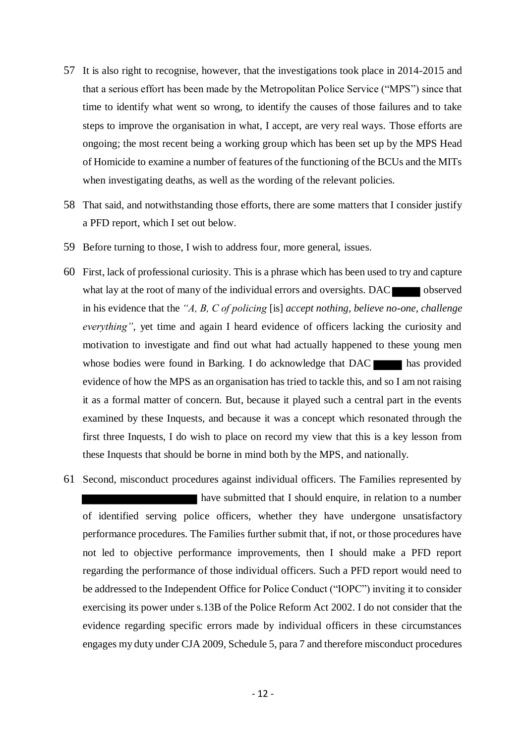- 57 It is also right to recognise, however, that the investigations took place in 2014-2015 and that a serious effort has been made by the Metropolitan Police Service ("MPS") since that time to identify what went so wrong, to identify the causes of those failures and to take steps to improve the organisation in what, I accept, are very real ways. Those efforts are ongoing; the most recent being a working group which has been set up by the MPS Head of Homicide to examine a number of features of the functioning of the BCUs and the MITs when investigating deaths, as well as the wording of the relevant policies.
- 58 That said, and notwithstanding those efforts, there are some matters that I consider justify a PFD report, which I set out below.
- 59 Before turning to those, I wish to address four, more general, issues.
- 60 First, lack of professional curiosity. This is a phrase which has been used to try and capture what lay at the root of many of the individual errors and oversights. DAC observed in his evidence that the *"A, B, C of policing* [is] *accept nothing, believe no-one, challenge everything*", yet time and again I heard evidence of officers lacking the curiosity and motivation to investigate and find out what had actually happened to these young men whose bodies were found in Barking. I do acknowledge that DAC has provided evidence of how the MPS as an organisation has tried to tackle this, and so I am not raising it as a formal matter of concern. But, because it played such a central part in the events examined by these Inquests, and because it was a concept which resonated through the first three Inquests, I do wish to place on record my view that this is a key lesson from these Inquests that should be borne in mind both by the MPS, and nationally.
- 61 Second, misconduct procedures against individual officers. The Families represented by have submitted that I should enquire, in relation to a number of identified serving police officers, whether they have undergone unsatisfactory performance procedures. The Families further submit that, if not, or those procedures have not led to objective performance improvements, then I should make a PFD report regarding the performance of those individual officers. Such a PFD report would need to be addressed to the Independent Office for Police Conduct ("IOPC") inviting it to consider exercising its power under s.13B of the Police Reform Act 2002. I do not consider that the evidence regarding specific errors made by individual officers in these circumstances engages my duty under CJA 2009, Schedule 5, para 7 and therefore misconduct procedures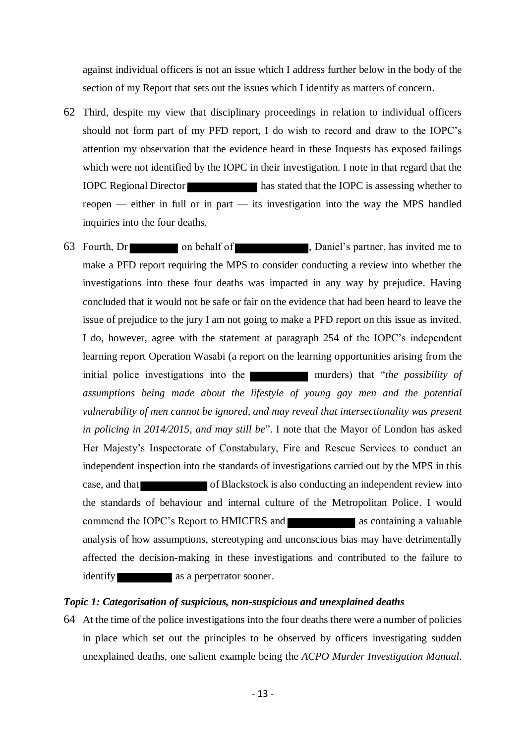against individual officers is not an issue which I address further below in the body of the section of my Report that sets out the issues which I identify as matters of concern.

- 62 Third, despite my view that disciplinary proceedings in relation to individual officers should not form part of my PFD report, I do wish to record and draw to the IOPC's attention my observation that the evidence heard in these Inquests has exposed failings which were not identified by the IOPC in their investigation. I note in that regard that the IOPC Regional Director has stated that the IOPC is assessing whether to reopen — either in full or in part — its investigation into the way the MPS handled inquiries into the four deaths.
- 63 Fourth, Dr on behalf of , Daniel's partner, has invited me to make a PFD report requiring the MPS to consider conducting a review into whether the investigations into these four deaths was impacted in any way by prejudice. Having concluded that it would not be safe or fair on the evidence that had been heard to leave the issue of prejudice to the jury I am not going to make a PFD report on this issue as invited. I do, however, agree with the statement at paragraph 254 of the IOPC's independent learning report Operation Wasabi (a report on the learning opportunities arising from the initial police investigations into the murders murders) that "*the possibility of assumptions being made about the lifestyle of young gay men and the potential vulnerability of men cannot be ignored, and may reveal that intersectionality was present in policing in 2014/2015, and may still be*". I note that the Mayor of London has asked Her Majesty's Inspectorate of Constabulary, Fire and Rescue Services to conduct an independent inspection into the standards of investigations carried out by the MPS in this case, and that of Blackstock is also conducting an independent review into the standards of behaviour and internal culture of the Metropolitan Police. I would commend the IOPC's Report to HMICFRS and as containing a valuable analysis of how assumptions, stereotyping and unconscious bias may have detrimentally affected the decision-making in these investigations and contributed to the failure to identify as a perpetrator sooner.

## *Topic 1: Categorisation of suspicious, non-suspicious and unexplained deaths*

64 At the time of the police investigations into the four deaths there were a number of policies in place which set out the principles to be observed by officers investigating sudden unexplained deaths, one salient example being the *ACPO Murder Investigation Manual*.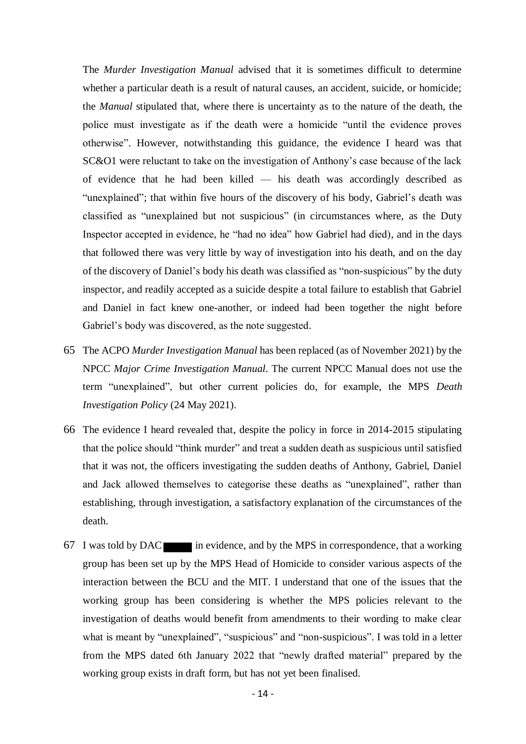The *Murder Investigation Manual* advised that it is sometimes difficult to determine whether a particular death is a result of natural causes, an accident, suicide, or homicide; the *Manual* stipulated that, where there is uncertainty as to the nature of the death, the police must investigate as if the death were a homicide "until the evidence proves otherwise". However, notwithstanding this guidance, the evidence I heard was that SC&O1 were reluctant to take on the investigation of Anthony's case because of the lack of evidence that he had been killed — his death was accordingly described as "unexplained"; that within five hours of the discovery of his body, Gabriel's death was classified as "unexplained but not suspicious" (in circumstances where, as the Duty Inspector accepted in evidence, he "had no idea" how Gabriel had died), and in the days that followed there was very little by way of investigation into his death, and on the day of the discovery of Daniel's body his death was classified as "non-suspicious" by the duty inspector, and readily accepted as a suicide despite a total failure to establish that Gabriel and Daniel in fact knew one-another, or indeed had been together the night before Gabriel's body was discovered, as the note suggested.

- 65 The ACPO *Murder Investigation Manual* has been replaced (as of November 2021) by the NPCC *Major Crime Investigation Manual*. The current NPCC Manual does not use the term "unexplained", but other current policies do, for example, the MPS *Death Investigation Policy* (24 May 2021).
- 66 The evidence I heard revealed that, despite the policy in force in 2014-2015 stipulating that the police should "think murder" and treat a sudden death as suspicious until satisfied that it was not, the officers investigating the sudden deaths of Anthony, Gabriel, Daniel and Jack allowed themselves to categorise these deaths as "unexplained", rather than establishing, through investigation, a satisfactory explanation of the circumstances of the death.
- 67 I was told by DAC in evidence, and by the MPS in correspondence, that a working group has been set up by the MPS Head of Homicide to consider various aspects of the interaction between the BCU and the MIT. I understand that one of the issues that the working group has been considering is whether the MPS policies relevant to the investigation of deaths would benefit from amendments to their wording to make clear what is meant by "unexplained", "suspicious" and "non-suspicious". I was told in a letter from the MPS dated 6th January 2022 that "newly drafted material" prepared by the working group exists in draft form, but has not yet been finalised.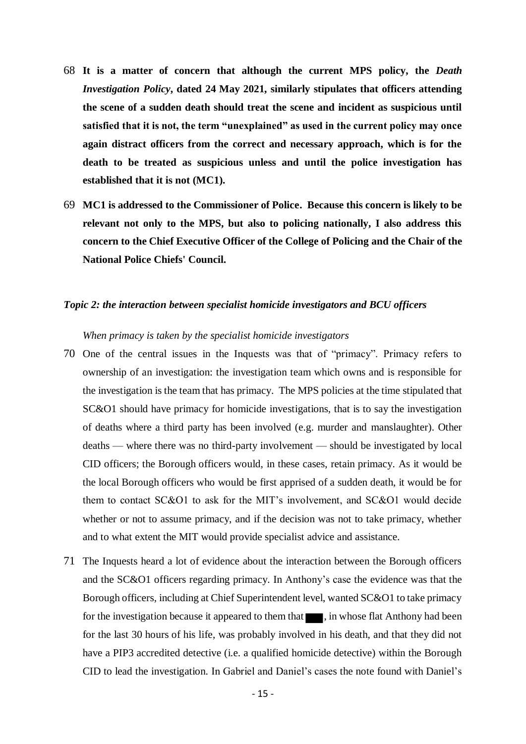- 68 **It is a matter of concern that although the current MPS policy, the** *Death Investigation Policy***, dated 24 May 2021, similarly stipulates that officers attending the scene of a sudden death should treat the scene and incident as suspicious until satisfied that it is not, the term "unexplained" as used in the current policy may once again distract officers from the correct and necessary approach, which is for the death to be treated as suspicious unless and until the police investigation has established that it is not (MC1).**
- 69 **MC1 is addressed to the Commissioner of Police. Because this concern is likely to be relevant not only to the MPS, but also to policing nationally, I also address this concern to the Chief Executive Officer of the College of Policing and the Chair of the National Police Chiefs' Council.**

## *Topic 2: the interaction between specialist homicide investigators and BCU officers*

#### *When primacy is taken by the specialist homicide investigators*

- 70 One of the central issues in the Inquests was that of "primacy". Primacy refers to ownership of an investigation: the investigation team which owns and is responsible for the investigation is the team that has primacy. The MPS policies at the time stipulated that SC&O1 should have primacy for homicide investigations, that is to say the investigation of deaths where a third party has been involved (e.g. murder and manslaughter). Other deaths — where there was no third-party involvement — should be investigated by local CID officers; the Borough officers would, in these cases, retain primacy. As it would be the local Borough officers who would be first apprised of a sudden death, it would be for them to contact SC&O1 to ask for the MIT's involvement, and SC&O1 would decide whether or not to assume primacy, and if the decision was not to take primacy, whether and to what extent the MIT would provide specialist advice and assistance.
- 71 The Inquests heard a lot of evidence about the interaction between the Borough officers and the SC&O1 officers regarding primacy. In Anthony's case the evidence was that the Borough officers, including at Chief Superintendent level, wanted SC&O1 to take primacy for the investigation because it appeared to them that  $\blacksquare$ , in whose flat Anthony had been for the last 30 hours of his life, was probably involved in his death, and that they did not have a PIP3 accredited detective (i.e. a qualified homicide detective) within the Borough CID to lead the investigation. In Gabriel and Daniel's cases the note found with Daniel's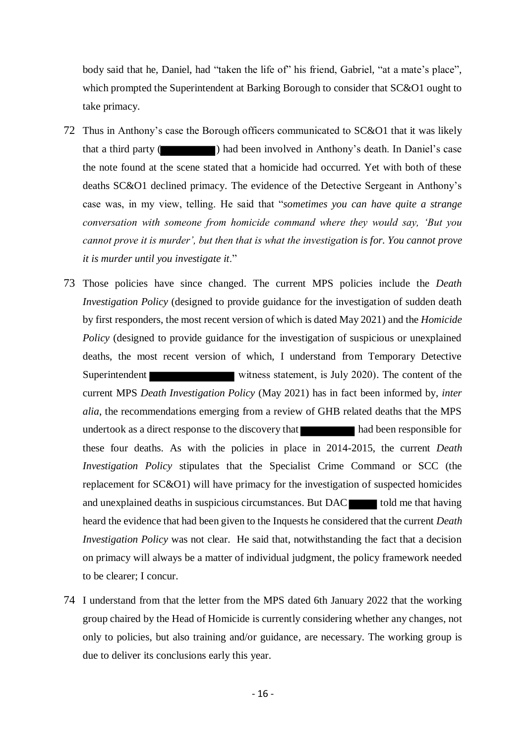body said that he, Daniel, had "taken the life of" his friend, Gabriel, "at a mate's place", which prompted the Superintendent at Barking Borough to consider that SC&O1 ought to take primacy.

- 72 Thus in Anthony's case the Borough officers communicated to SC&O1 that it was likely that a third party ( ) had been involved in Anthony's death. In Daniel's case the note found at the scene stated that a homicide had occurred. Yet with both of these deaths SC&O1 declined primacy. The evidence of the Detective Sergeant in Anthony's case was, in my view, telling. He said that "*sometimes you can have quite a strange conversation with someone from homicide command where they would say, 'But you cannot prove it is murder', but then that is what the investigation is for. You cannot prove it is murder until you investigate it*."
- 73 Those policies have since changed. The current MPS policies include the *Death Investigation Policy* (designed to provide guidance for the investigation of sudden death by first responders, the most recent version of which is dated May 2021) and the *Homicide Policy* (designed to provide guidance for the investigation of suspicious or unexplained deaths, the most recent version of which, I understand from Temporary Detective Superintendent witness statement, is July 2020). The content of the current MPS *Death Investigation Policy* (May 2021) has in fact been informed by, *inter alia*, the recommendations emerging from a review of GHB related deaths that the MPS undertook as a direct response to the discovery that had been responsible for these four deaths. As with the policies in place in 2014-2015, the current *Death Investigation Policy* stipulates that the Specialist Crime Command or SCC (the replacement for SC&O1) will have primacy for the investigation of suspected homicides and unexplained deaths in suspicious circumstances. But  $DAC$  told me that having heard the evidence that had been given to the Inquests he considered that the current *Death Investigation Policy* was not clear. He said that, notwithstanding the fact that a decision on primacy will always be a matter of individual judgment, the policy framework needed to be clearer; I concur.
- 74 I understand from that the letter from the MPS dated 6th January 2022 that the working group chaired by the Head of Homicide is currently considering whether any changes, not only to policies, but also training and/or guidance, are necessary. The working group is due to deliver its conclusions early this year.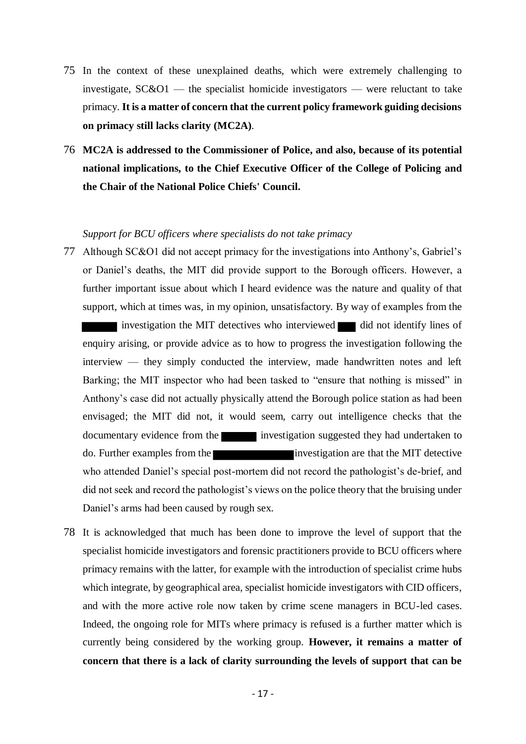- 75 In the context of these unexplained deaths, which were extremely challenging to investigate,  $SC&O1$  — the specialist homicide investigators — were reluctant to take primacy. **It is a matter of concern that the current policy framework guiding decisions on primacy still lacks clarity (MC2A)**.
- 76 **MC2A is addressed to the Commissioner of Police, and also, because of its potential national implications, to the Chief Executive Officer of the College of Policing and the Chair of the National Police Chiefs' Council.**

## *Support for BCU officers where specialists do not take primacy*

- 77 Although SC&O1 did not accept primacy for the investigations into Anthony's, Gabriel's or Daniel's deaths, the MIT did provide support to the Borough officers. However, a further important issue about which I heard evidence was the nature and quality of that support, which at times was, in my opinion, unsatisfactory. By way of examples from the investigation the MIT detectives who interviewed did not identify lines of enquiry arising, or provide advice as to how to progress the investigation following the interview — they simply conducted the interview, made handwritten notes and left Barking; the MIT inspector who had been tasked to "ensure that nothing is missed" in Anthony's case did not actually physically attend the Borough police station as had been envisaged; the MIT did not, it would seem, carry out intelligence checks that the documentary evidence from the investigation suggested they had undertaken to do. Further examples from the investigation are that the MIT detective who attended Daniel's special post-mortem did not record the pathologist's de-brief, and did not seek and record the pathologist's views on the police theory that the bruising under Daniel's arms had been caused by rough sex.
- 78 It is acknowledged that much has been done to improve the level of support that the specialist homicide investigators and forensic practitioners provide to BCU officers where primacy remains with the latter, for example with the introduction of specialist crime hubs which integrate, by geographical area, specialist homicide investigators with CID officers, and with the more active role now taken by crime scene managers in BCU-led cases. Indeed, the ongoing role for MITs where primacy is refused is a further matter which is currently being considered by the working group. **However, it remains a matter of concern that there is a lack of clarity surrounding the levels of support that can be**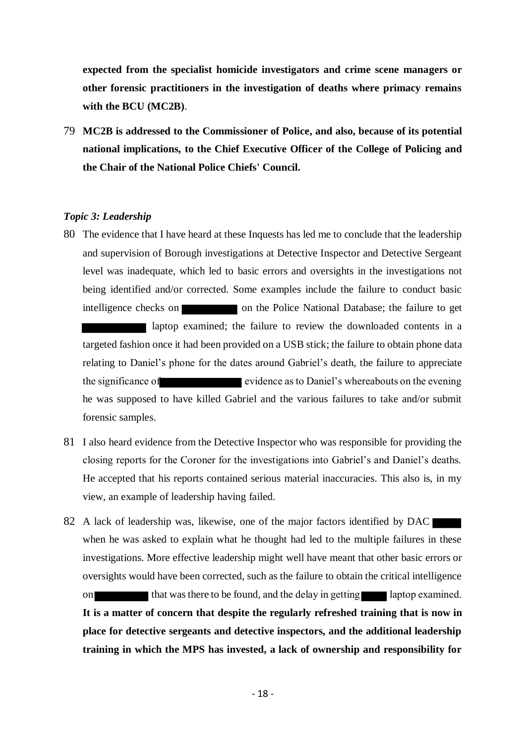**expected from the specialist homicide investigators and crime scene managers or other forensic practitioners in the investigation of deaths where primacy remains with the BCU (MC2B)**.

79 **MC2B is addressed to the Commissioner of Police, and also, because of its potential national implications, to the Chief Executive Officer of the College of Policing and the Chair of the National Police Chiefs' Council.**

# *Topic 3: Leadership*

- 80 The evidence that I have heard at these Inquests has led me to conclude that the leadership and supervision of Borough investigations at Detective Inspector and Detective Sergeant level was inadequate, which led to basic errors and oversights in the investigations not being identified and/or corrected. Some examples include the failure to conduct basic intelligence checks on on the Police National Database; the failure to get laptop examined; the failure to review the downloaded contents in a targeted fashion once it had been provided on a USB stick; the failure to obtain phone data relating to Daniel's phone for the dates around Gabriel's death, the failure to appreciate the significance of evidence as to Daniel's whereabouts on the evening he was supposed to have killed Gabriel and the various failures to take and/or submit forensic samples.
- 81 I also heard evidence from the Detective Inspector who was responsible for providing the closing reports for the Coroner for the investigations into Gabriel's and Daniel's deaths. He accepted that his reports contained serious material inaccuracies. This also is, in my view, an example of leadership having failed.
- 82 A lack of leadership was, likewise, one of the major factors identified by DAC when he was asked to explain what he thought had led to the multiple failures in these investigations. More effective leadership might well have meant that other basic errors or oversights would have been corrected, such as the failure to obtain the critical intelligence on that was there to be found, and the delay in getting laptop examined. **It is a matter of concern that despite the regularly refreshed training that is now in place for detective sergeants and detective inspectors, and the additional leadership training in which the MPS has invested, a lack of ownership and responsibility for**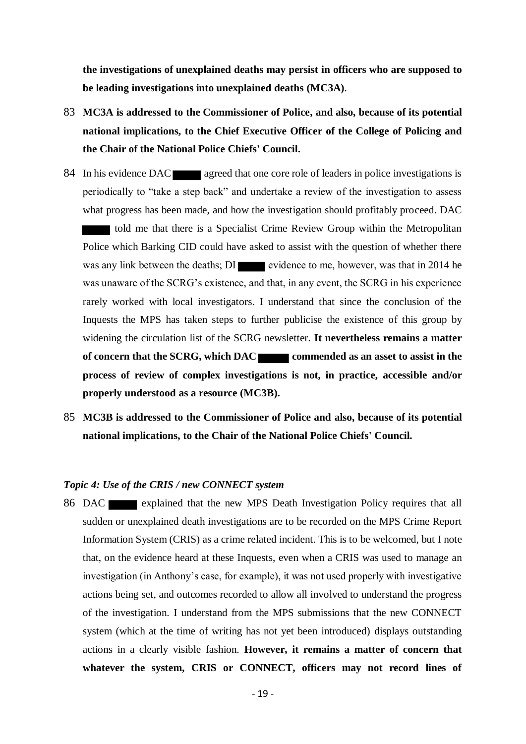**the investigations of unexplained deaths may persist in officers who are supposed to be leading investigations into unexplained deaths (MC3A)**.

- 83 **MC3A is addressed to the Commissioner of Police, and also, because of its potential national implications, to the Chief Executive Officer of the College of Policing and the Chair of the National Police Chiefs' Council.**
- 84 In his evidence DAC agreed that one core role of leaders in police investigations is periodically to "take a step back" and undertake a review of the investigation to assess what progress has been made, and how the investigation should profitably proceed. DAC told me that there is a Specialist Crime Review Group within the Metropolitan Police which Barking CID could have asked to assist with the question of whether there was any link between the deaths; DI evidence to me, however, was that in 2014 he was unaware of the SCRG's existence, and that, in any event, the SCRG in his experience rarely worked with local investigators. I understand that since the conclusion of the Inquests the MPS has taken steps to further publicise the existence of this group by widening the circulation list of the SCRG newsletter. **It nevertheless remains a matter**  of concern that the SCRG, which DAC commended as an asset to assist in the **process of review of complex investigations is not, in practice, accessible and/or properly understood as a resource (MC3B).**
- 85 **MC3B is addressed to the Commissioner of Police and also, because of its potential national implications, to the Chair of the National Police Chiefs' Council.**

#### *Topic 4: Use of the CRIS / new CONNECT system*

86 DAC explained that the new MPS Death Investigation Policy requires that all sudden or unexplained death investigations are to be recorded on the MPS Crime Report Information System (CRIS) as a crime related incident. This is to be welcomed, but I note that, on the evidence heard at these Inquests, even when a CRIS was used to manage an investigation (in Anthony's case, for example), it was not used properly with investigative actions being set, and outcomes recorded to allow all involved to understand the progress of the investigation. I understand from the MPS submissions that the new CONNECT system (which at the time of writing has not yet been introduced) displays outstanding actions in a clearly visible fashion. **However, it remains a matter of concern that whatever the system, CRIS or CONNECT, officers may not record lines of**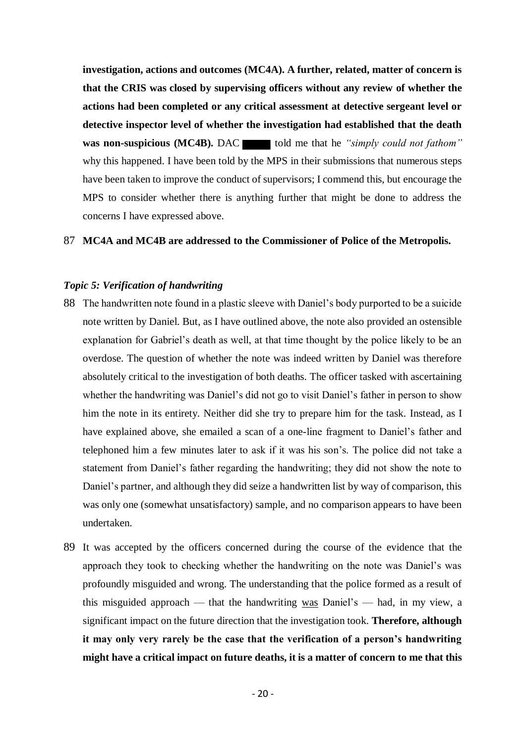**investigation, actions and outcomes (MC4A). A further, related, matter of concern is that the CRIS was closed by supervising officers without any review of whether the actions had been completed or any critical assessment at detective sergeant level or detective inspector level of whether the investigation had established that the death was non-suspicious (MC4B).** DAC told me that he *"simply could not fathom"* why this happened. I have been told by the MPS in their submissions that numerous steps have been taken to improve the conduct of supervisors; I commend this, but encourage the MPS to consider whether there is anything further that might be done to address the concerns I have expressed above.

## 87 **MC4A and MC4B are addressed to the Commissioner of Police of the Metropolis.**

## *Topic 5: Verification of handwriting*

- 88 The handwritten note found in a plastic sleeve with Daniel's body purported to be a suicide note written by Daniel. But, as I have outlined above, the note also provided an ostensible explanation for Gabriel's death as well, at that time thought by the police likely to be an overdose. The question of whether the note was indeed written by Daniel was therefore absolutely critical to the investigation of both deaths. The officer tasked with ascertaining whether the handwriting was Daniel's did not go to visit Daniel's father in person to show him the note in its entirety. Neither did she try to prepare him for the task. Instead, as I have explained above, she emailed a scan of a one-line fragment to Daniel's father and telephoned him a few minutes later to ask if it was his son's. The police did not take a statement from Daniel's father regarding the handwriting; they did not show the note to Daniel's partner, and although they did seize a handwritten list by way of comparison, this was only one (somewhat unsatisfactory) sample, and no comparison appears to have been undertaken.
- 89 It was accepted by the officers concerned during the course of the evidence that the approach they took to checking whether the handwriting on the note was Daniel's was profoundly misguided and wrong. The understanding that the police formed as a result of this misguided approach — that the handwriting was Daniel's — had, in my view, a significant impact on the future direction that the investigation took. **Therefore, although it may only very rarely be the case that the verification of a person's handwriting might have a critical impact on future deaths, it is a matter of concern to me that this**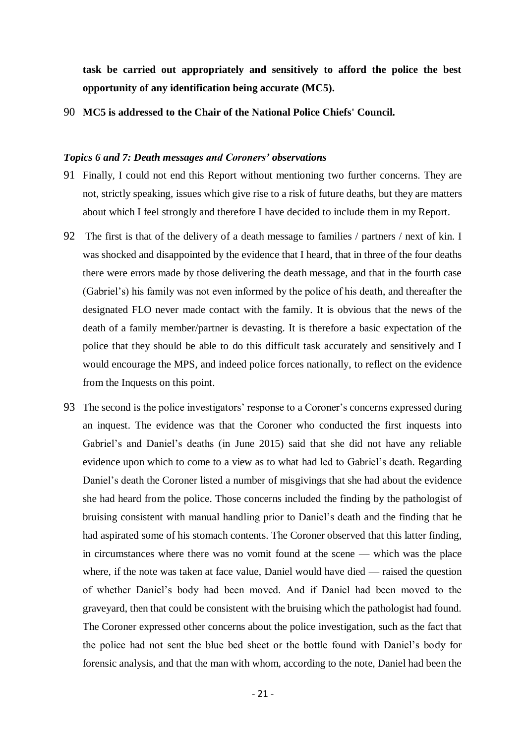**task be carried out appropriately and sensitively to afford the police the best opportunity of any identification being accurate (MC5).**

<span id="page-20-0"></span>90 **MC5 is addressed to the Chair of the National Police Chiefs' Council.**

#### *Topics 6 and 7: Death messages and Coroners' observations*

- 91 Finally, I could not end this Report without mentioning two further concerns. They are not, strictly speaking, issues which give rise to a risk of future deaths, but they are matters about which I feel strongly and therefore I have decided to include them in my Report.
- 92 The first is that of the delivery of a death message to families / partners / next of kin. I was shocked and disappointed by the evidence that I heard, that in three of the four deaths there were errors made by those delivering the death message, and that in the fourth case (Gabriel's) his family was not even informed by the police of his death, and thereafter the designated FLO never made contact with the family. It is obvious that the news of the death of a family member/partner is devasting. It is therefore a basic expectation of the police that they should be able to do this difficult task accurately and sensitively and I would encourage the MPS, and indeed police forces nationally, to reflect on the evidence from the Inquests on this point.
- 93 The second is the police investigators' response to a Coroner's concerns expressed during an inquest. The evidence was that the Coroner who conducted the first inquests into Gabriel's and Daniel's deaths (in June 2015) said that she did not have any reliable evidence upon which to come to a view as to what had led to Gabriel's death. Regarding Daniel's death the Coroner listed a number of misgivings that she had about the evidence she had heard from the police. Those concerns included the finding by the pathologist of bruising consistent with manual handling prior to Daniel's death and the finding that he had aspirated some of his stomach contents. The Coroner observed that this latter finding, in circumstances where there was no vomit found at the scene — which was the place where, if the note was taken at face value, Daniel would have died — raised the question of whether Daniel's body had been moved. And if Daniel had been moved to the graveyard, then that could be consistent with the bruising which the pathologist had found. The Coroner expressed other concerns about the police investigation, such as the fact that the police had not sent the blue bed sheet or the bottle found with Daniel's body for forensic analysis, and that the man with whom, according to the note, Daniel had been the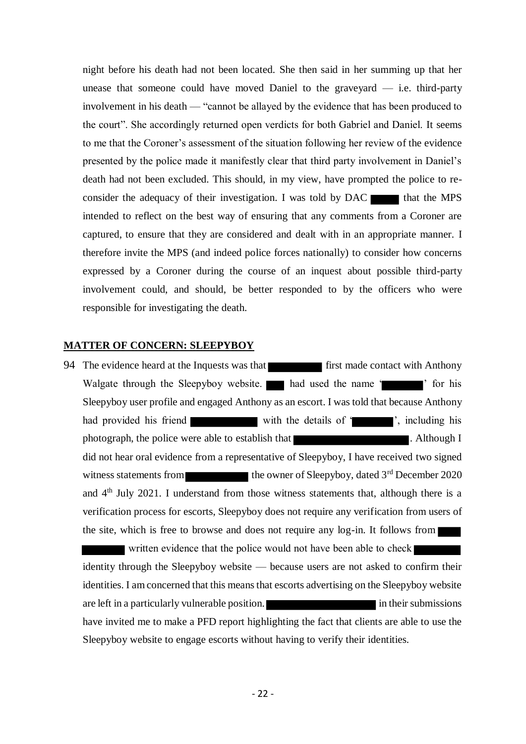night before his death had not been located. She then said in her summing up that her unease that someone could have moved Daniel to the graveyard  $-$  i.e. third-party involvement in his death — "cannot be allayed by the evidence that has been produced to the court". She accordingly returned open verdicts for both Gabriel and Daniel. It seems to me that the Coroner's assessment of the situation following her review of the evidence presented by the police made it manifestly clear that third party involvement in Daniel's death had not been excluded. This should, in my view, have prompted the police to reconsider the adequacy of their investigation. I was told by  $\text{DAC}$  that the MPS intended to reflect on the best way of ensuring that any comments from a Coroner are captured, to ensure that they are considered and dealt with in an appropriate manner. I therefore invite the MPS (and indeed police forces nationally) to consider how concerns expressed by a Coroner during the course of an inquest about possible third-party involvement could, and should, be better responded to by the officers who were responsible for investigating the death.

## **MATTER OF CONCERN: SLEEPYBOY**

<span id="page-21-0"></span>94 The evidence heard at the Inquests was that **first** first made contact with Anthony Walgate through the Sleepyboy website. had used the name ' ' ' for his Sleepyboy user profile and engaged Anthony as an escort. I was told that because Anthony had provided his friend with the details of ', including his photograph, the police were able to establish that **the contract of the state of the state of the state of the state of the state of the state of the state of the state of the state of the state of the state of the state o** did not hear oral evidence from a representative of Sleepyboy, I have received two signed witness statements from the owner of Sleepyboy, dated  $3<sup>rd</sup>$  December 2020 and  $4<sup>th</sup>$  July 2021. I understand from those witness statements that, although there is a verification process for escorts, Sleepyboy does not require any verification from users of the site, which is free to browse and does not require any log-in. It follows from

 written evidence that the police would not have been able to check identity through the Sleepyboy website — because users are not asked to confirm their identities. I am concerned that this means that escorts advertising on the Sleepyboy website are left in a particularly vulnerable position. **in the induced in the in** their submissions have invited me to make a PFD report highlighting the fact that clients are able to use the Sleepyboy website to engage escorts without having to verify their identities.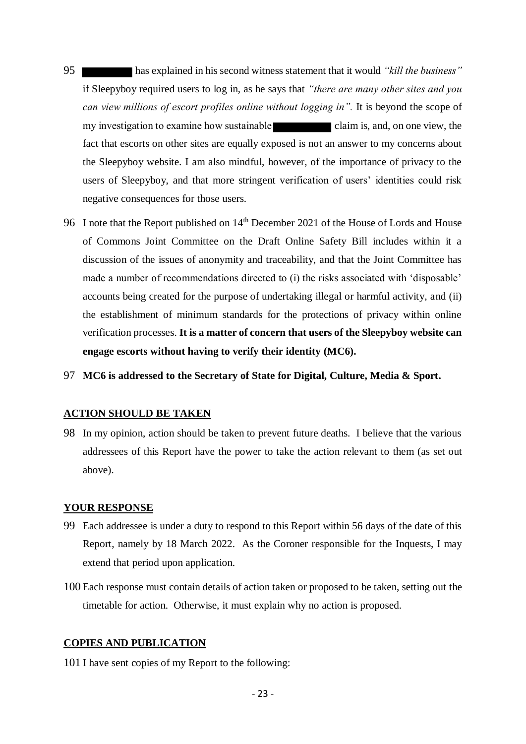- 95 has explained in his second witness statement that it would *"kill the business"* if Sleepyboy required users to log in, as he says that *"there are many other sites and you can view millions of escort profiles online without logging in".* It is beyond the scope of my investigation to examine how sustainable claim is, and, on one view, the fact that escorts on other sites are equally exposed is not an answer to my concerns about the Sleepyboy website. I am also mindful, however, of the importance of privacy to the users of Sleepyboy, and that more stringent verification of users' identities could risk negative consequences for those users.
- 96 I note that the Report published on 14<sup>th</sup> December 2021 of the House of Lords and House of Commons Joint Committee on the Draft Online Safety Bill includes within it a discussion of the issues of anonymity and traceability, and that the Joint Committee has made a number of recommendations directed to (i) the risks associated with 'disposable' accounts being created for the purpose of undertaking illegal or harmful activity, and (ii) the establishment of minimum standards for the protections of privacy within online verification processes. **It is a matter of concern that users of the Sleepyboy website can engage escorts without having to verify their identity (MC6).**
- <span id="page-22-0"></span>97 **MC6 is addressed to the Secretary of State for Digital, Culture, Media & Sport.**

## **ACTION SHOULD BE TAKEN**

98 In my opinion, action should be taken to prevent future deaths. I believe that the various addressees of this Report have the power to take the action relevant to them (as set out above).

## **YOUR RESPONSE**

- 99 Each addressee is under a duty to respond to this Report within 56 days of the date of this Report, namely by 18 March 2022. As the Coroner responsible for the Inquests, I may extend that period upon application.
- 100 Each response must contain details of action taken or proposed to be taken, setting out the timetable for action. Otherwise, it must explain why no action is proposed.

# **COPIES AND PUBLICATION**

101 I have sent copies of my Report to the following: